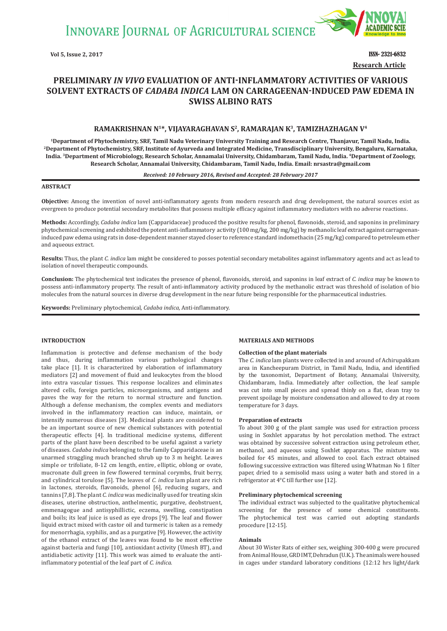**INNOVARE JOURNAL OF AGRICULTURAL SCIENCE** 



**Vol 5, Issue 2, 2017 ISSN- 2321-6832 Research Article**

# **PRELIMINARY** *IN VIVO* **EVALUATION OF ANTI-INFLAMMATORY ACTIVITIES OF VARIOUS SOLVENT EXTRACTS OF** *CADABA INDICA* **LAM ON CARRAGEENAN-INDUCED PAW EDEMA IN SWISS ALBINO RATS**

# **RAMAKRISHNAN N<sup>1</sup>\*, VIJAYARAGHAVAN S2, RAMARAJAN K3, TAMIZHAZHAGAN V<sup>4</sup>**

**1Department of Phytochemistry, SRF, Tamil Nadu Veterinary University Training and Research Centre, Thanjavur, Tamil Nadu, India. <sup>2</sup>Department of Phytochemistry, SRF, Institute of Ayurveda and Integrated Medicine, Transdisciplinary University, Bengaluru, Karnataka, India. <sup>3</sup>Department of Microbiology, Research Scholar, Annamalai University, Chidambaram, Tamil Nadu, India. <sup>4</sup>Department of Zoology, Research Scholar, Annamalai University, Chidambaram, Tamil Nadu, India. Email: nrsastra@gmail.com**

#### *Received: 10 February 2016, Revised and Accepted: 28 February 2017*

#### **ABSTRACT**

**Objective:** Among the invention of novel anti-inflammatory agents from modern research and drug development, the natural sources exist as evergreen to produce potential secondary metabolites that possess multiple efficacy against inflammatory mediators with no adverse reactions.

**Methods:** Accordingly, *Cadaba indica* lam (Capparidaceae) produced the positive results for phenol, flavonoids, steroid, and saponins in preliminary phytochemical screening and exhibited the potent anti-inflammatory activity (100 mg/kg, 200 mg/kg) by methanolic leaf extract against carrageenaninduced paw edema using rats in dose-dependent manner stayed closer to reference standard indomethacin (25 mg/kg) compared to petroleum ether and aqueous extract.

**Results:** Thus, the plant *C. indica* lam might be considered to posses potential secondary metabolites against inflammatory agents and act as lead to isolation of novel therapeutic compounds.

**Conclusion:** The phytochemical test indicates the presence of phenol, flavonoids, steroid, and saponins in leaf extract of *C. indica* may be known to possess anti-inflammatory property. The result of anti-inflammatory activity produced by the methanolic extract was threshold of isolation of bio molecules from the natural sources in diverse drug development in the near future being responsible for the pharmaceutical industries.

**Keywords:** Preliminary phytochemical*, Cadaba indica,* Anti-inflammatory.

## **INTRODUCTION**

Inflammation is protective and defense mechanism of the body and thus, during inflammation various pathological changes take place [1]. It is characterized by elaboration of inflammatory mediators [2] and movement of fluid and leukocytes from the blood into extra vascular tissues. This response localizes and eliminates altered cells, foreign particles, microorganisms, and antigens and paves the way for the return to normal structure and function. Although a defense mechanism, the complex events and mediators involved in the inflammatory reaction can induce, maintain, or intensify numerous diseases [3]. Medicinal plants are considered to be an important source of new chemical substances with potential therapeutic effects [4]. In traditional medicine systems, different parts of the plant have been described to be useful against a variety of diseases. *Cadaba indica* belonging to the family Capparidaceae is an unarmed straggling much branched shrub up to 3 m height. Leaves simple or trifoliate, 8-12 cm length, entire, elliptic, oblong or ovate, mucronate dull green in few flowered terminal corymbs, fruit berry, and cylindrical torulose [5]. The leaves of *C. indica* lam plant are rich in lactones, steroids, flavonoids, phenol [6], reducing sugars, and tannins [7,8]. The plant *C. indica* was medicinally used for treating skin diseases, uterine obstruction, anthelmentic, purgative, deobstruent, emmenagogue and antisyphillictic, eczema, swelling, constipation and boils; its leaf juice is used as eye drops [9]. The leaf and flower liquid extract mixed with castor oil and turmeric is taken as a remedy for menorrhagia, syphilis, and as a purgative [9]. However, the activity of the ethanol extract of the leaves was found to be most effective against bacteria and fungi [10], antioxidant activity (Umesh BT), and antidiabetic activity [11]. This work was aimed to evaluate the antiinflammatory potential of the leaf part of *C. indica*.

#### **MATERIALS AND METHODS**

#### **Collection of the plant materials**

The *C. indica* lam plants were collected in and around of Achirupakkam area in Kancheepuram District, in Tamil Nadu, India, and identified by the taxonomist, Department of Botany, Annamalai University, Chidambaram, India. Immediately after collection, the leaf sample was cut into small pieces and spread thinly on a flat, clean tray to prevent spoilage by moisture condensation and allowed to dry at room temperature for 3 days.

#### **Preparation of extracts**

To about 300 g of the plant sample was used for extraction process using in Soxhlet apparatus by hot percolation method. The extract was obtained by successive solvent extraction using petroleum ether, methanol, and aqueous using Soxhlet apparatus. The mixture was boiled for 45 minutes, and allowed to cool. Each extract obtained following successive extraction was filtered using Whatman No 1 filter paper, dried to a semisolid mass using a water bath and stored in a refrigerator at 4°C till further use [12].

### **Preliminary phytochemical screening**

The individual extract was subjected to the qualitative phytochemical screening for the presence of some chemical constituents. The phytochemical test was carried out adopting standards procedure [12-15].

#### **Animals**

About 30 Wister Rats of either sex, weighing 300-400 g were procured from Animal House, GRD IMT, Dehradun (U.K.). The animals were housed in cages under standard laboratory conditions (12:12 hrs light/dark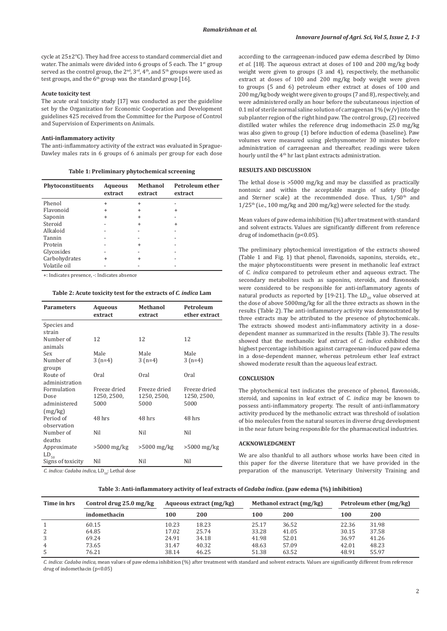cycle at 25±2°C). They had free access to standard commercial diet and water. The animals were divided into 6 groups of 5 each. The 1<sup>st</sup> group served as the control group, the  $2<sup>nd</sup>$ ,  $3<sup>rd</sup>$ ,  $4<sup>th</sup>$ , and  $5<sup>th</sup>$  groups were used as test groups, and the  $6<sup>th</sup>$  group was the standard group [16].

### **Acute toxicity test**

The acute oral toxicity study [17] was conducted as per the guideline set by the Organization for Economic Cooperation and Development guidelines 425 received from the Committee for the Purpose of Control and Supervision of Experiments on Animals.

#### **Anti-inflammatory activity**

The anti-inflammatory activity of the extract was evaluated in Sprague-Dawley males rats in 6 groups of 6 animals per group for each dose

**Table 1: Preliminary phytochemical screening**

| Phytoconstituents | <b>Aqueous</b><br>extract | <b>Methanol</b><br>extract | Petroleum ether<br>extract |
|-------------------|---------------------------|----------------------------|----------------------------|
| Phenol            | +                         | +                          |                            |
| Flavonoid         | +                         | +                          | ÷                          |
| Saponin           | $\ddot{}$                 | $\ddot{}$                  |                            |
| Steroid           |                           | +                          |                            |
| Alkaloid          |                           |                            |                            |
| Tannin            |                           |                            |                            |
| Protein           |                           | +                          |                            |
| Glycosides        |                           |                            |                            |
| Carbohydrates     |                           |                            |                            |
| Volatile oil      |                           |                            |                            |

+: Indicates presence, -: Indicates absence

# **Table 2: Acute toxicity test for the extracts of** *C. indica* **Lam**

| Parameters            | <b>Aqueous</b><br>extract | Methanol<br>extract | Petroleum<br>ether extract |  |
|-----------------------|---------------------------|---------------------|----------------------------|--|
| Species and           |                           |                     |                            |  |
| strain                |                           |                     |                            |  |
| Number of             | 12                        | 12                  | 12                         |  |
| animals               |                           |                     |                            |  |
| Sex                   | Male                      | Male                | Male                       |  |
| Number of             | $3(n=4)$                  | $3(n=4)$            | $3(n=4)$                   |  |
| groups                |                           |                     |                            |  |
| Route of              | 0ral                      | <b>Oral</b>         | Oral                       |  |
| administration        |                           |                     |                            |  |
| Formulation           | Freeze dried              | Freeze dried        | Freeze dried               |  |
| Dose                  | 1250, 2500,               | 1250, 2500,         | 1250, 2500,                |  |
| administered          | 5000                      | 5000                | 5000                       |  |
| (mg/kg)               |                           |                     |                            |  |
| Period of             | 48 hrs                    | 48 hrs              | 48 hrs                     |  |
| observation           |                           |                     |                            |  |
| Number of             | Nil                       | Nil                 | Nil                        |  |
| deaths                |                           |                     |                            |  |
| Approximate           | $>5000$ mg/kg             | $>5000$ mg/kg       | $>5000$ mg/kg              |  |
| $\mathrm{LD}_{_{50}}$ |                           |                     |                            |  |
| Signs of toxicity     | Nil                       | Nil                 | Nil                        |  |

*C. indica: Cadaba indica*, LD<sub>50</sub>: Lethal dose

according to the carrageenan-induced paw edema described by Dimo *et al*. [18]. The aqueous extract at doses of 100 and 200 mg/kg body weight were given to groups (3 and 4), respectively, the methanolic extract at doses of 100 and 200 mg/kg body weight were given to groups (5 and 6) petroleum ether extract at doses of 100 and 200 mg/kg body weight were given to groups (7 and 8), respectively, and were administered orally an hour before the subcutaneous injection of 0.1 ml of sterile normal saline solution of carrageenan  $1\%$  (w/v) into the sub planter region of the right hind paw. The control group, (2) received distilled water whiles the reference drug indomethacin 25.0 mg/kg was also given to group (1) before induction of edema (baseline). Paw volumes were measured using plethysmometer 30 minutes before administration of carrageenan and thereafter, readings were taken hourly until the 4<sup>th</sup> hr last plant extracts administration.

### **RESULTS AND DISCUSSION**

The lethal dose is >5000 mg/kg and may be classified as practically nontoxic and within the acceptable margin of safety (Hodge and Sterner scale) at the recommended dose. Thus, 1/50<sup>th</sup> and  $1/25$ <sup>th</sup> (i.e., 100 mg/kg and 200 mg/kg) were selected for the study.

Mean values of paw edema inhibition (%) after treatment with standard and solvent extracts. Values are significantly different from reference drug of indomethacin (p<0.05).

The preliminary phytochemical investigation of the extracts showed (Table 1 and Fig. 1) that phenol, flavonoids, saponins, steroids, etc., the major phytoconstituents were present in methanolic leaf extract of *C. indica* compared to petroleum ether and aqueous extract. The secondary metabolites such as saponins, steroids, and flavonoids were considered to be responsible for anti-inflammatory agents of natural products as reported by [19-21]. The  $LD_{50}$  value observed at the dose of above 5000mg/kg for all the three extracts as shown in the results (Table 2). The anti-inflammatory activity was demonstrated by three extracts may be attributed to the presence of phytochemicals. The extracts showed modest anti-inflammatory activity in a dosedependent manner as summarized in the results (Table 3). The results showed that the methanolic leaf extract of *C. indica* exhibited the highest percentage inhibition against carrageenan-induced paw edema in a dose-dependent manner, whereas petroleum ether leaf extract showed moderate result than the aqueous leaf extract.

#### **CONCLUSION**

The phytochemical test indicates the presence of phenol, flavonoids, steroid, and saponins in leaf extract of *C. indica* may be known to possess anti-inflammatory property. The result of anti-inflammatory activity produced by the methanolic extract was threshold of isolation of bio molecules from the natural sources in diverse drug development in the near future being responsible for the pharmaceutical industries.

#### **ACKNOWLEDGMENT**

We are also thankful to all authors whose works have been cited in this paper for the diverse literature that we have provided in the preparation of the manuscript. Veterinary University Training and

**Table 3: Anti‑inflammatory activity of leaf extracts of** *Cadaba indica***. (paw edema (%) inhibition)**

| Time in hrs | Control drug $25.0 \,\mathrm{mg/kg}$ | Aqueous extract (mg/kg) |       | Methanol extract (mg/kg) |       | Petroleum ether (mg/kg) |       |
|-------------|--------------------------------------|-------------------------|-------|--------------------------|-------|-------------------------|-------|
|             | indomethacin                         | 100                     | 200   | 100                      | 200   | 100                     | 200   |
|             | 60.15                                | 10.23                   | 18.23 | 25.17                    | 36.52 | 22.36                   | 31.98 |
|             | 64.85                                | 17.02                   | 25.74 | 33.28                    | 41.05 | 30.15                   | 37.58 |
| 3           | 69.24                                | 24.91                   | 34.18 | 41.98                    | 52.01 | 36.97                   | 41.26 |
| 4           | 73.65                                | 31.47                   | 40.32 | 48.63                    | 57.09 | 42.01                   | 48.23 |
|             | 76.21                                | 38.14                   | 46.25 | 51.38                    | 63.52 | 48.91                   | 55.97 |

*C. indica: Cadaba indica,* mean values of paw edema inhibition (%) after treatment with standard and solvent extracts. Values are significantly different from reference drug of indomethacin (p<0.05)